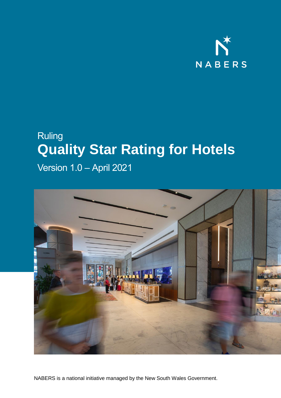

## Ruling **Quality Star Rating for Hotels**

Version 1.0 – April 2021



NABERS is a national initiative managed by the New South Wales Government.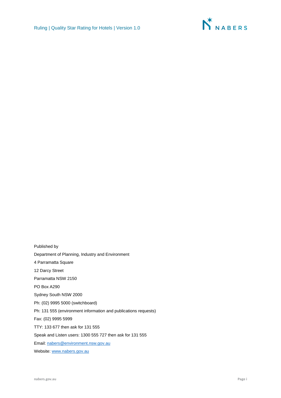

Published by Department of Planning, Industry and Environment 4 Parramatta Square 12 Darcy Street Parramatta NSW 2150 PO Box A290 Sydney South NSW 2000 Ph: (02) 9995 5000 (switchboard) Ph: 131 555 (environment information and publications requests) Fax: (02) 9995 5999 TTY: 133 677 then ask for 131 555 Speak and Listen users: 1300 555 727 then ask for 131 555 Email[: nabers@environment.nsw.gov.au](mailto:nabers@environment.nsw.gov.au) Website[: www.nabers.gov.au](http://www.nabers.gov.au/)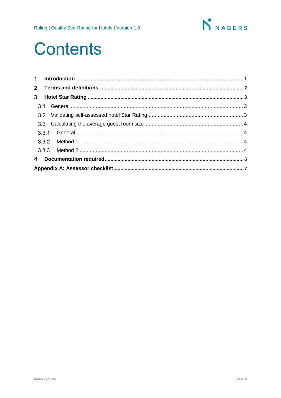

# **Contents**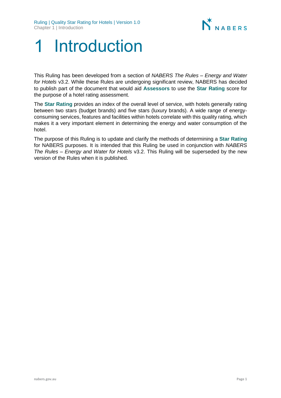

# <span id="page-3-0"></span>Introduction

This Ruling has been developed from a section of *NABERS The Rules – Energy and Water for Hotels* v3.2. While these Rules are undergoing significant review, NABERS has decided to publish part of the document that would aid **Assessors** to use the **Star Rating** score for the purpose of a hotel rating assessment.

The **Star Rating** provides an index of the overall level of service, with hotels generally rating between two stars (budget brands) and five stars (luxury brands). A wide range of energyconsuming services, features and facilities within hotels correlate with this quality rating, which makes it a very important element in determining the energy and water consumption of the hotel.

The purpose of this Ruling is to update and clarify the methods of determining a **Star Rating** for NABERS purposes. It is intended that this Ruling be used in conjunction with *NABERS The Rules – Energy and Water for Hotels* v3.2. This Ruling will be superseded by the new version of the Rules when it is published.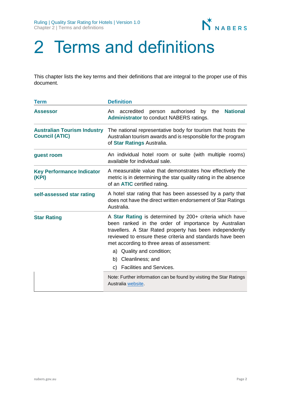

# <span id="page-4-0"></span>2 Terms and definitions

This chapter lists the key terms and their definitions that are integral to the proper use of this document.

| <b>Term</b>                                                 | <b>Definition</b>                                                                                                                                                                                                                                                                                                                                                                       |  |  |  |  |
|-------------------------------------------------------------|-----------------------------------------------------------------------------------------------------------------------------------------------------------------------------------------------------------------------------------------------------------------------------------------------------------------------------------------------------------------------------------------|--|--|--|--|
| <b>Assessor</b>                                             | <b>National</b><br>person authorised by the<br>accredited<br>An<br><b>Administrator to conduct NABERS ratings.</b>                                                                                                                                                                                                                                                                      |  |  |  |  |
| <b>Australian Tourism Industry</b><br><b>Council (ATIC)</b> | The national representative body for tourism that hosts the<br>Australian tourism awards and is responsible for the program<br>of Star Ratings Australia.                                                                                                                                                                                                                               |  |  |  |  |
| guest room                                                  | An individual hotel room or suite (with multiple rooms)<br>available for individual sale.                                                                                                                                                                                                                                                                                               |  |  |  |  |
| <b>Key Performance Indicator</b><br>(KPI)                   | A measurable value that demonstrates how effectively the<br>metric is in determining the star quality rating in the absence<br>of an <b>ATIC</b> certified rating.                                                                                                                                                                                                                      |  |  |  |  |
| self-assessed star rating                                   | A hotel star rating that has been assessed by a party that<br>does not have the direct written endorsement of Star Ratings<br>Australia.                                                                                                                                                                                                                                                |  |  |  |  |
| <b>Star Rating</b>                                          | A Star Rating is determined by 200+ criteria which have<br>been ranked in the order of importance by Australian<br>travellers. A Star Rated property has been independently<br>reviewed to ensure these criteria and standards have been<br>met according to three areas of assessment:<br>a) Quality and condition;<br>Cleanliness; and<br>b)<br><b>Facilities and Services.</b><br>C) |  |  |  |  |
|                                                             | Note: Further information can be found by visiting the Star Ratings<br>Australia website.                                                                                                                                                                                                                                                                                               |  |  |  |  |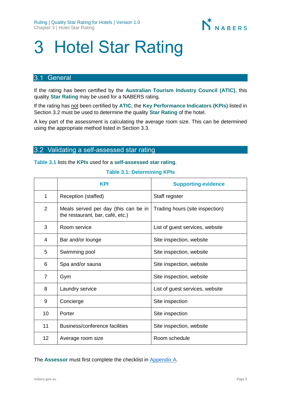

# <span id="page-5-0"></span>3 Hotel Star Rating

### <span id="page-5-1"></span>3.1 General

If the rating has been certified by the **Australian Tourism Industry Council (ATIC)**, this quality **Star Rating** may be used for a NABERS rating.

If the rating has not been certified by **ATIC**, the **Key Performance Indicators (KPIs)** listed in Section 3.2 must be used to determine the quality **Star Rating** of the hotel.

A key part of the assessment is calculating the average room size. This can be determined using the appropriate method listed in Section 3.3.

### <span id="page-5-2"></span>3.2 Validating a self-assessed star rating

**Table 3.1** lists the **KPIs** used for a **self-assessed star rating**.

#### **Table 3.1: Determining KPIs**

|                | <b>KPI</b>                                                               | <b>Supporting evidence</b>      |
|----------------|--------------------------------------------------------------------------|---------------------------------|
| 1              | Reception (staffed)                                                      | Staff register                  |
| $\overline{2}$ | Meals served per day (this can be in<br>the restaurant, bar, café, etc.) | Trading hours (site inspection) |
| 3              | Room service                                                             | List of guest services, website |
| 4              | Bar and/or lounge                                                        | Site inspection, website        |
| 5              | Swimming pool                                                            | Site inspection, website        |
| 6              | Spa and/or sauna                                                         | Site inspection, website        |
| 7              | Gym                                                                      | Site inspection, website        |
| 8              | Laundry service                                                          | List of guest services, website |
| 9              | Concierge                                                                | Site inspection                 |
| 10             | Porter                                                                   | Site inspection                 |
| 11             | Business/conference facilities                                           | Site inspection, website        |
| 12             | Average room size                                                        | Room schedule                   |

The **Assessor** must first complete the checklist in [Appendix A.](#page-9-0)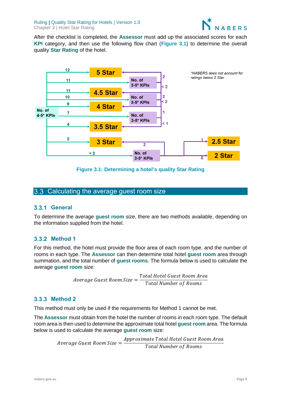

After the checklist is completed, the **Assessor** must add up the associated scores for each **KPI** category, and then use the following flow chart (**Figure 3.1**) to determine the overall quality **Star Rating** of the hotel.



**Figure 3.1: Determining a hotel's quality Star Rating**

### <span id="page-6-0"></span>3.3 Calculating the average guest room size

#### <span id="page-6-1"></span>**General**

To determine the average **guest room** size, there are two methods available, depending on the information supplied from the hotel.

### <span id="page-6-2"></span>**3.3.2 Method 1**

For this method, the hotel must provide the floor area of each room type, and the number of rooms in each type. The **Assessor** can then determine total hotel **guest room** area through summation, and the total number of **guest rooms**. The formula below is used to calculate the average **guest room** size:

> Average Guest Room Size = Total Hotel Guest Room Area Total Number of Rooms

### <span id="page-6-3"></span>**3.3.3 Method 2**

This method must only be used if the requirements for Method 1 cannot be met.

The **Assessor** must obtain from the hotel the number of rooms in each room type. The default room area is then used to determine the approximate total hotel **guest room** area. The formula below is used to calculate the average **guest room** size:

> Average Guest Room Size  $=$ Approximate Total Hotel Guest Room Area **Total Number of Rooms**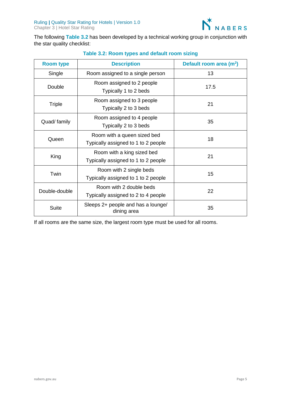

The following **Table 3.2** has been developed by a technical working group in conjunction with the star quality checklist:

| <b>Room type</b>                                                                | <b>Description</b>                                             | Default room area (m <sup>2</sup> ) |  |
|---------------------------------------------------------------------------------|----------------------------------------------------------------|-------------------------------------|--|
| Single                                                                          | Room assigned to a single person                               | 13                                  |  |
| Double                                                                          | Room assigned to 2 people<br>Typically 1 to 2 beds             | 17.5                                |  |
| Room assigned to 3 people<br>Triple<br>Typically 2 to 3 beds                    |                                                                | 21                                  |  |
| Room assigned to 4 people<br>Quad/ family<br>Typically 2 to 3 beds              |                                                                | 35                                  |  |
| Room with a queen sized bed<br>Queen<br>Typically assigned to 1 to 2 people     |                                                                | 18                                  |  |
| Room with a king sized bed<br>King<br>Typically assigned to 1 to 2 people       |                                                                | 21                                  |  |
| Twin                                                                            | Room with 2 single beds<br>Typically assigned to 1 to 2 people | 15                                  |  |
| Room with 2 double beds<br>Double-double<br>Typically assigned to 2 to 4 people |                                                                | 22                                  |  |
| Sleeps 2+ people and has a lounge/<br><b>Suite</b><br>dining area               |                                                                | 35                                  |  |

### **Table 3.2: Room types and default room sizing**

If all rooms are the same size, the largest room type must be used for all rooms.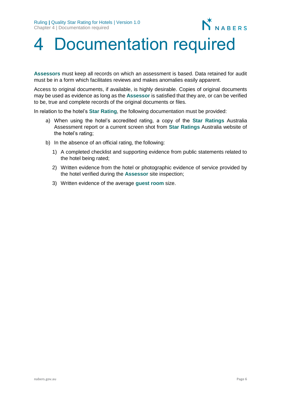

# <span id="page-8-0"></span>Documentation required

**Assessors** must keep all records on which an assessment is based. Data retained for audit must be in a form which facilitates reviews and makes anomalies easily apparent.

Access to original documents, if available, is highly desirable. Copies of original documents may be used as evidence as long as the **Assessor** is satisfied that they are, or can be verified to be, true and complete records of the original documents or files.

In relation to the hotel's **Star Rating**, the following documentation must be provided:

- a) When using the hotel's accredited rating, a copy of the **Star Ratings** Australia Assessment report or a current screen shot from **Star Ratings** Australia website of the hotel's rating;
- b) In the absence of an official rating, the following:
	- 1) A completed checklist and supporting evidence from public statements related to the hotel being rated;
	- 2) Written evidence from the hotel or photographic evidence of service provided by the hotel verified during the **Assessor** site inspection;
	- 3) Written evidence of the average **guest room** size.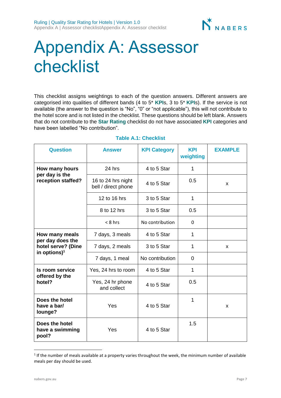

# <span id="page-9-0"></span>Appendix A: Assessor checklist

This checklist assigns weightings to each of the question answers. Different answers are categorised into qualities of different bands (4 to 5\* **KPI**s, 3 to 5\* **KPI**s). If the service is not available (the answer to the question is "No", "0" or "not applicable"), this will not contribute to the hotel score and is not listed in the checklist. These questions should be left blank. Answers that do not contribute to the **Star Rating** checklist do not have associated **KPI** categories and have been labelled "No contribution".

| <b>Question</b>                                                                      | <b>Answer</b>                             | <b>KPI Category</b> | <b>KPI</b><br>weighting | <b>EXAMPLE</b> |
|--------------------------------------------------------------------------------------|-------------------------------------------|---------------------|-------------------------|----------------|
| How many hours<br>per day is the<br>reception staffed?                               | 24 hrs                                    | 4 to 5 Star         | 1                       |                |
|                                                                                      | 16 to 24 hrs night<br>bell / direct phone | 4 to 5 Star         | 0.5                     | X              |
|                                                                                      | 12 to 16 hrs                              | 3 to 5 Star         | 1                       |                |
|                                                                                      | 8 to 12 hrs                               | 3 to 5 Star         | 0.5                     |                |
|                                                                                      | $< 8$ hrs                                 | No contribution     | $\Omega$                |                |
| How many meals<br>per day does the<br>hotel serve? (Dine<br>in options) <sup>1</sup> | 7 days, 3 meals                           | 4 to 5 Star         | 1                       |                |
|                                                                                      | 7 days, 2 meals                           | 3 to 5 Star         | 1                       | X              |
|                                                                                      | 7 days, 1 meal                            | No contribution     | $\Omega$                |                |
| Is room service<br>offered by the<br>hotel?                                          | Yes, 24 hrs to room                       | 4 to 5 Star         | 1                       |                |
|                                                                                      | Yes, 24 hr phone<br>and collect           | 4 to 5 Star         | 0.5                     |                |
| Does the hotel<br>have a bar/<br>lounge?                                             | Yes                                       | 4 to 5 Star         | 1                       | X              |
| Does the hotel<br>have a swimming<br>pool?                                           | Yes                                       | 4 to 5 Star         | 1.5                     |                |

#### **Table A.1: Checklist**

 $\overline{\phantom{a}}$ 

 $1$  If the number of meals available at a property varies throughout the week, the minimum number of available meals per day should be used.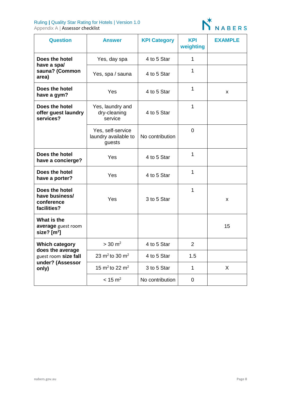#### Ruling **|** Quality Star Rating for Hotels | Version 1.0 Appendix A | **Assessor checklist**



| <b>Question</b>                                                       | <b>Answer</b>                                       | <b>KPI Category</b> | <b>KPI</b><br>weighting | <b>EXAMPLE</b> |
|-----------------------------------------------------------------------|-----------------------------------------------------|---------------------|-------------------------|----------------|
| Does the hotel<br>have a spal<br>sauna? (Common<br>area)              | Yes, day spa                                        | 4 to 5 Star         | 1                       |                |
|                                                                       | Yes, spa / sauna                                    | 4 to 5 Star         | 1                       |                |
| Does the hotel<br>have a gym?                                         | Yes                                                 | 4 to 5 Star         | $\mathbf 1$             | X              |
| Does the hotel<br>offer guest laundry<br>services?                    | Yes, laundry and<br>dry-cleaning<br>service         | 4 to 5 Star         | 1                       |                |
|                                                                       | Yes, self-service<br>laundry available to<br>guests | No contribution     | 0                       |                |
| Does the hotel<br>have a concierge?                                   | Yes                                                 | 4 to 5 Star         | 1                       |                |
| Does the hotel<br>have a porter?                                      | Yes                                                 | 4 to 5 Star         | 1                       |                |
| Does the hotel<br>have business/<br>conference<br>facilities?         | Yes                                                 | 3 to 5 Star         | 1                       | x              |
| What is the<br>average guest room<br>size? $[m^2]$                    |                                                     |                     |                         | 15             |
| <b>Which category</b>                                                 | $> 30 \text{ m}^2$                                  | 4 to 5 Star         | $\overline{2}$          |                |
| does the average<br>guest room size fall<br>under? (Assessor<br>only) | 23 $m^2$ to 30 $m^2$                                | 4 to 5 Star         | 1.5                     |                |
|                                                                       | 15 m <sup>2</sup> to 22 m <sup>2</sup>              | 3 to 5 Star         | $\mathbf 1$             | X              |
|                                                                       | $< 15 \text{ m}^2$                                  | No contribution     | 0                       |                |